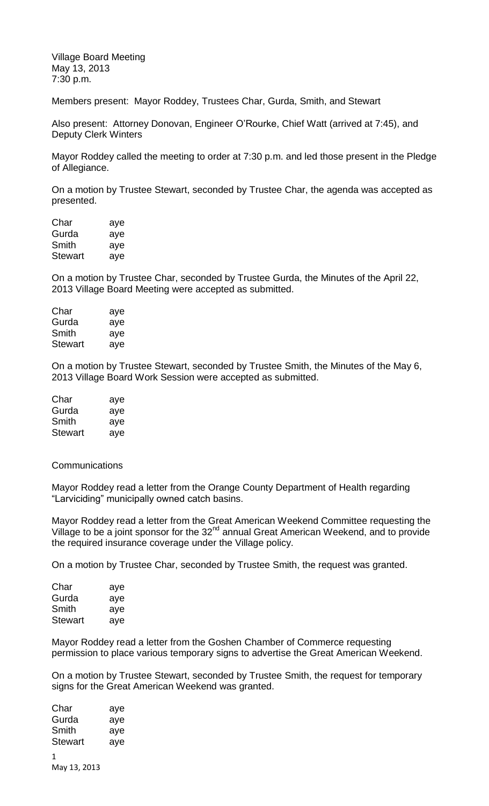Village Board Meeting May 13, 2013 7:30 p.m.

Members present: Mayor Roddey, Trustees Char, Gurda, Smith, and Stewart

Also present: Attorney Donovan, Engineer O'Rourke, Chief Watt (arrived at 7:45), and Deputy Clerk Winters

Mayor Roddey called the meeting to order at 7:30 p.m. and led those present in the Pledge of Allegiance.

On a motion by Trustee Stewart, seconded by Trustee Char, the agenda was accepted as presented.

| Char    | aye |
|---------|-----|
| Gurda   | aye |
| Smith   | aye |
| Stewart | aye |

On a motion by Trustee Char, seconded by Trustee Gurda, the Minutes of the April 22, 2013 Village Board Meeting were accepted as submitted.

| aye |
|-----|
| aye |
| aye |
| aye |
|     |

On a motion by Trustee Stewart, seconded by Trustee Smith, the Minutes of the May 6, 2013 Village Board Work Session were accepted as submitted.

| Char    | aye |
|---------|-----|
| Gurda   | aye |
| Smith   | aye |
| Stewart | aye |

**Communications** 

Mayor Roddey read a letter from the Orange County Department of Health regarding "Larviciding" municipally owned catch basins.

Mayor Roddey read a letter from the Great American Weekend Committee requesting the Village to be a joint sponsor for the  $32<sup>nd</sup>$  annual Great American Weekend, and to provide the required insurance coverage under the Village policy.

On a motion by Trustee Char, seconded by Trustee Smith, the request was granted.

| Char    | aye |
|---------|-----|
| Gurda   | aye |
| Smith   | aye |
| Stewart | aye |

Mayor Roddey read a letter from the Goshen Chamber of Commerce requesting permission to place various temporary signs to advertise the Great American Weekend.

On a motion by Trustee Stewart, seconded by Trustee Smith, the request for temporary signs for the Great American Weekend was granted.

| Char           | aye |
|----------------|-----|
| Gurda          | aye |
| Smith          | aye |
| <b>Stewart</b> | aye |
| 1              |     |
| May 13, 2013   |     |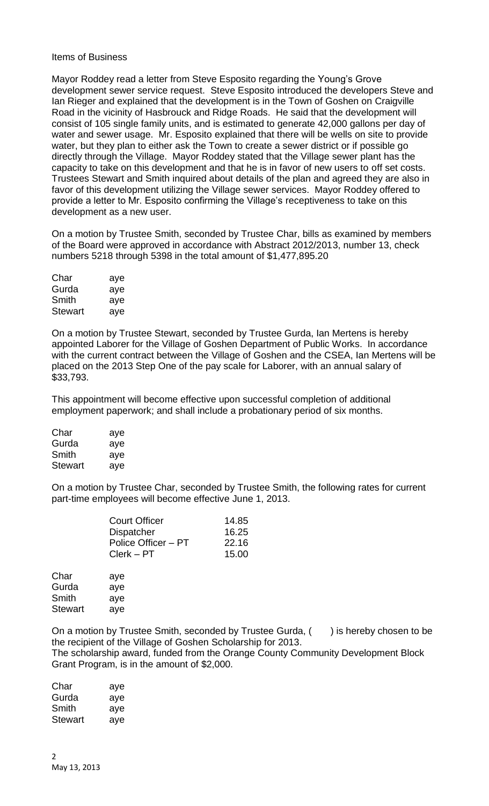## Items of Business

Mayor Roddey read a letter from Steve Esposito regarding the Young's Grove development sewer service request. Steve Esposito introduced the developers Steve and Ian Rieger and explained that the development is in the Town of Goshen on Craigville Road in the vicinity of Hasbrouck and Ridge Roads. He said that the development will consist of 105 single family units, and is estimated to generate 42,000 gallons per day of water and sewer usage. Mr. Esposito explained that there will be wells on site to provide water, but they plan to either ask the Town to create a sewer district or if possible go directly through the Village. Mayor Roddey stated that the Village sewer plant has the capacity to take on this development and that he is in favor of new users to off set costs. Trustees Stewart and Smith inquired about details of the plan and agreed they are also in favor of this development utilizing the Village sewer services. Mayor Roddey offered to provide a letter to Mr. Esposito confirming the Village's receptiveness to take on this development as a new user.

On a motion by Trustee Smith, seconded by Trustee Char, bills as examined by members of the Board were approved in accordance with Abstract 2012/2013, number 13, check numbers 5218 through 5398 in the total amount of \$1,477,895.20

| Char    | aye |
|---------|-----|
| Gurda   | aye |
| Smith   | aye |
| Stewart | ave |

On a motion by Trustee Stewart, seconded by Trustee Gurda, Ian Mertens is hereby appointed Laborer for the Village of Goshen Department of Public Works. In accordance with the current contract between the Village of Goshen and the CSEA, Ian Mertens will be placed on the 2013 Step One of the pay scale for Laborer, with an annual salary of \$33,793.

This appointment will become effective upon successful completion of additional employment paperwork; and shall include a probationary period of six months.

| Char    | aye |
|---------|-----|
| Gurda   | aye |
| Smith   | aye |
| Stewart | aye |

On a motion by Trustee Char, seconded by Trustee Smith, the following rates for current part-time employees will become effective June 1, 2013.

| Court Officer       | 14.85 |
|---------------------|-------|
| <b>Dispatcher</b>   | 16.25 |
| Police Officer - PT | 22.16 |
| $Clerk - PT$        | 15.00 |
|                     |       |

| Char    | aye |
|---------|-----|
| Gurda   | aye |
| Smith   | aye |
| Stewart | aye |

On a motion by Trustee Smith, seconded by Trustee Gurda,  $($ ) is hereby chosen to be the recipient of the Village of Goshen Scholarship for 2013. The scholarship award, funded from the Orange County Community Development Block Grant Program, is in the amount of \$2,000.

| Char    | aye |
|---------|-----|
| Gurda   | aye |
| Smith   | aye |
| Stewart | aye |